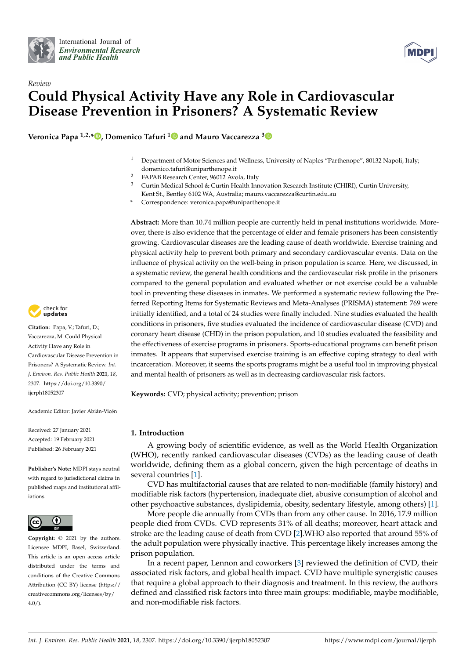



# *Review* **Could Physical Activity Have any Role in Cardiovascular Disease Prevention in Prisoners? A Systematic Review**

**Veronica Papa 1,2,[\\*](https://orcid.org/0000-0002-9995-1097) , Domenico Tafuri [1](https://orcid.org/0000-0002-5948-1414) and Mauro Vaccarezza [3](https://orcid.org/0000-0003-3060-318X)**

- <sup>1</sup> Department of Motor Sciences and Wellness, University of Naples "Parthenope", 80132 Napoli, Italy; domenico.tafuri@uniparthenope.it
- <sup>2</sup> FAPAB Research Center, 96012 Avola, Italy<br><sup>3</sup> Curtin Medical School & Curtin Health Inn
- <sup>3</sup> Curtin Medical School & Curtin Health Innovation Research Institute (CHIRI), Curtin University, Kent St., Bentley 6102 WA, Australia; mauro.vaccarezza@curtin.edu.au
- **\*** Correspondence: veronica.papa@uniparthenope.it

**Abstract:** More than 10.74 million people are currently held in penal institutions worldwide. Moreover, there is also evidence that the percentage of elder and female prisoners has been consistently growing. Cardiovascular diseases are the leading cause of death worldwide. Exercise training and physical activity help to prevent both primary and secondary cardiovascular events. Data on the influence of physical activity on the well-being in prison population is scarce. Here, we discussed, in a systematic review, the general health conditions and the cardiovascular risk profile in the prisoners compared to the general population and evaluated whether or not exercise could be a valuable tool in preventing these diseases in inmates. We performed a systematic review following the Preferred Reporting Items for Systematic Reviews and Meta-Analyses (PRISMA) statement: 769 were initially identified, and a total of 24 studies were finally included. Nine studies evaluated the health conditions in prisoners, five studies evaluated the incidence of cardiovascular disease (CVD) and coronary heart disease (CHD) in the prison population, and 10 studies evaluated the feasibility and the effectiveness of exercise programs in prisoners. Sports-educational programs can benefit prison inmates. It appears that supervised exercise training is an effective coping strategy to deal with incarceration. Moreover, it seems the sports programs might be a useful tool in improving physical and mental health of prisoners as well as in decreasing cardiovascular risk factors.

**Keywords:** CVD; physical activity; prevention; prison

# **1. Introduction**

A growing body of scientific evidence, as well as the World Health Organization (WHO), recently ranked cardiovascular diseases (CVDs) as the leading cause of death worldwide, defining them as a global concern, given the high percentage of deaths in several countries [\[1\]](#page-15-0).

CVD has multifactorial causes that are related to non-modifiable (family history) and modifiable risk factors (hypertension, inadequate diet, abusive consumption of alcohol and other psychoactive substances, dyslipidemia, obesity, sedentary lifestyle, among others) [\[1\]](#page-15-0).

More people die annually from CVDs than from any other cause. In 2016, 17.9 million people died from CVDs. CVD represents 31% of all deaths; moreover, heart attack and stroke are the leading cause of death from CVD [\[2\]](#page-15-1).WHO also reported that around 55% of the adult population were physically inactive. This percentage likely increases among the prison population.

In a recent paper, Lennon and coworkers [\[3\]](#page-15-2) reviewed the definition of CVD, their associated risk factors, and global health impact. CVD have multiple synergistic causes that require a global approach to their diagnosis and treatment. In this review, the authors defined and classified risk factors into three main groups: modifiable, maybe modifiable, and non-modifiable risk factors.



**Citation:** Papa, V.; Tafuri, D.; Vaccarezza, M. Could Physical Activity Have any Role in Cardiovascular Disease Prevention in Prisoners? A Systematic Review. *Int. J. Environ. Res. Public Health* **2021**, *18*, 2307. [https://doi.org/10.3390/](https://doi.org/10.3390/ijerph18052307) [ijerph18052307](https://doi.org/10.3390/ijerph18052307)

Academic Editor: Javier Abián-Vicén

Received: 27 January 2021 Accepted: 19 February 2021 Published: 26 February 2021

**Publisher's Note:** MDPI stays neutral with regard to jurisdictional claims in published maps and institutional affiliations.



**Copyright:** © 2021 by the authors. Licensee MDPI, Basel, Switzerland. This article is an open access article distributed under the terms and conditions of the Creative Commons Attribution (CC BY) license (https:/[/](https://creativecommons.org/licenses/by/4.0/) [creativecommons.org/licenses/by/](https://creativecommons.org/licenses/by/4.0/)  $4.0/$ ).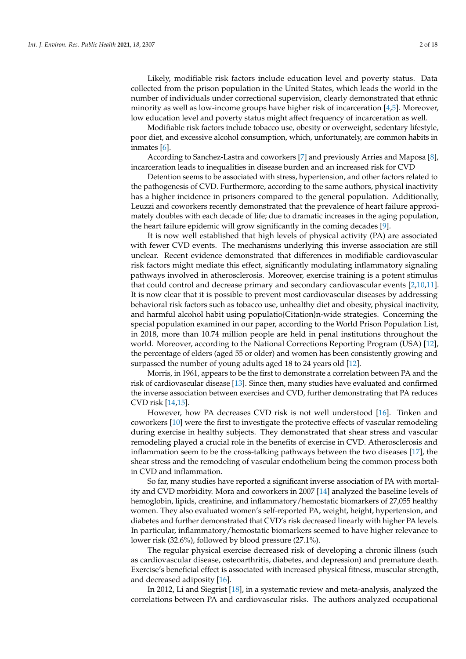Likely, modifiable risk factors include education level and poverty status. Data collected from the prison population in the United States, which leads the world in the number of individuals under correctional supervision, clearly demonstrated that ethnic minority as well as low-income groups have higher risk of incarceration [\[4](#page-15-3)[,5\]](#page-15-4). Moreover, low education level and poverty status might affect frequency of incarceration as well.

Modifiable risk factors include tobacco use, obesity or overweight, sedentary lifestyle, poor diet, and excessive alcohol consumption, which, unfortunately, are common habits in inmates [\[6\]](#page-15-5).

According to Sanchez-Lastra and coworkers [\[7\]](#page-15-6) and previously Arries and Maposa [\[8\]](#page-15-7), incarceration leads to inequalities in disease burden and an increased risk for CVD

Detention seems to be associated with stress, hypertension, and other factors related to the pathogenesis of CVD. Furthermore, according to the same authors, physical inactivity has a higher incidence in prisoners compared to the general population. Additionally, Leuzzi and coworkers recently demonstrated that the prevalence of heart failure approximately doubles with each decade of life; due to dramatic increases in the aging population, the heart failure epidemic will grow significantly in the coming decades [\[9\]](#page-15-8).

It is now well established that high levels of physical activity (PA) are associated with fewer CVD events. The mechanisms underlying this inverse association are still unclear. Recent evidence demonstrated that differences in modifiable cardiovascular risk factors might mediate this effect, significantly modulating inflammatory signaling pathways involved in atherosclerosis. Moreover, exercise training is a potent stimulus that could control and decrease primary and secondary cardiovascular events [\[2,](#page-15-1)[10,](#page-15-9)[11\]](#page-15-10). It is now clear that it is possible to prevent most cardiovascular diseases by addressing behavioral risk factors such as tobacco use, unhealthy diet and obesity, physical inactivity, and harmful alcohol habit using populatio{Citation}n-wide strategies. Concerning the special population examined in our paper, according to the World Prison Population List, in 2018, more than 10.74 million people are held in penal institutions throughout the world. Moreover, according to the National Corrections Reporting Program (USA) [\[12\]](#page-15-11), the percentage of elders (aged 55 or older) and women has been consistently growing and surpassed the number of young adults aged 18 to 24 years old [\[12\]](#page-15-11).

Morris, in 1961, appears to be the first to demonstrate a correlation between PA and the risk of cardiovascular disease [\[13\]](#page-15-12). Since then, many studies have evaluated and confirmed the inverse association between exercises and CVD, further demonstrating that PA reduces CVD risk [\[14,](#page-15-13)[15\]](#page-15-14).

However, how PA decreases CVD risk is not well understood [\[16\]](#page-15-15). Tinken and coworkers [\[10\]](#page-15-9) were the first to investigate the protective effects of vascular remodeling during exercise in healthy subjects. They demonstrated that shear stress and vascular remodeling played a crucial role in the benefits of exercise in CVD. Atherosclerosis and inflammation seem to be the cross-talking pathways between the two diseases [\[17\]](#page-15-16), the shear stress and the remodeling of vascular endothelium being the common process both in CVD and inflammation.

So far, many studies have reported a significant inverse association of PA with mortality and CVD morbidity. Mora and coworkers in 2007 [\[14\]](#page-15-13) analyzed the baseline levels of hemoglobin, lipids, creatinine, and inflammatory/hemostatic biomarkers of 27,055 healthy women. They also evaluated women's self-reported PA, weight, height, hypertension, and diabetes and further demonstrated that CVD's risk decreased linearly with higher PA levels. In particular, inflammatory/hemostatic biomarkers seemed to have higher relevance to lower risk (32.6%), followed by blood pressure (27.1%).

The regular physical exercise decreased risk of developing a chronic illness (such as cardiovascular disease, osteoarthritis, diabetes, and depression) and premature death. Exercise's beneficial effect is associated with increased physical fitness, muscular strength, and decreased adiposity [\[16\]](#page-15-15).

In 2012, Li and Siegrist [\[18\]](#page-15-17), in a systematic review and meta-analysis, analyzed the correlations between PA and cardiovascular risks. The authors analyzed occupational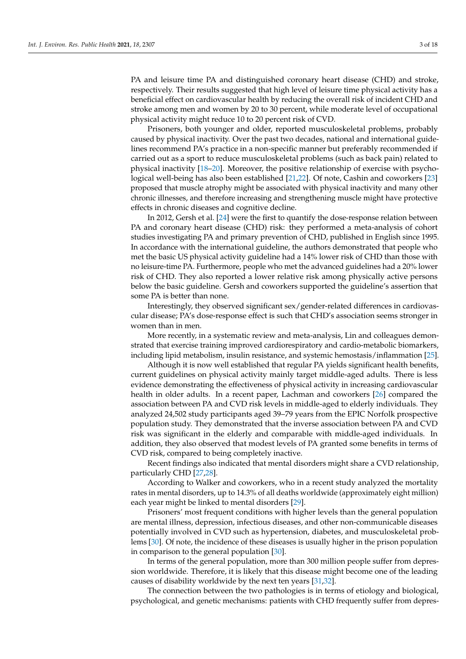PA and leisure time PA and distinguished coronary heart disease (CHD) and stroke, respectively. Their results suggested that high level of leisure time physical activity has a beneficial effect on cardiovascular health by reducing the overall risk of incident CHD and stroke among men and women by 20 to 30 percent, while moderate level of occupational physical activity might reduce 10 to 20 percent risk of CVD.

Prisoners, both younger and older, reported musculoskeletal problems, probably caused by physical inactivity. Over the past two decades, national and international guidelines recommend PA's practice in a non-specific manner but preferably recommended if carried out as a sport to reduce musculoskeletal problems (such as back pain) related to physical inactivity [\[18–](#page-15-17)[20\]](#page-15-18). Moreover, the positive relationship of exercise with psychological well-being has also been established [\[21](#page-15-19)[,22\]](#page-15-20). Of note, Cashin and coworkers [\[23\]](#page-15-21) proposed that muscle atrophy might be associated with physical inactivity and many other chronic illnesses, and therefore increasing and strengthening muscle might have protective effects in chronic diseases and cognitive decline.

In 2012, Gersh et al. [\[24\]](#page-15-22) were the first to quantify the dose-response relation between PA and coronary heart disease (CHD) risk: they performed a meta-analysis of cohort studies investigating PA and primary prevention of CHD, published in English since 1995. In accordance with the international guideline, the authors demonstrated that people who met the basic US physical activity guideline had a 14% lower risk of CHD than those with no leisure-time PA. Furthermore, people who met the advanced guidelines had a 20% lower risk of CHD. They also reported a lower relative risk among physically active persons below the basic guideline. Gersh and coworkers supported the guideline's assertion that some PA is better than none.

Interestingly, they observed significant sex/gender-related differences in cardiovascular disease; PA's dose-response effect is such that CHD's association seems stronger in women than in men.

More recently, in a systematic review and meta-analysis, Lin and colleagues demonstrated that exercise training improved cardiorespiratory and cardio-metabolic biomarkers, including lipid metabolism, insulin resistance, and systemic hemostasis/inflammation [\[25\]](#page-15-23).

Although it is now well established that regular PA yields significant health benefits, current guidelines on physical activity mainly target middle-aged adults. There is less evidence demonstrating the effectiveness of physical activity in increasing cardiovascular health in older adults. In a recent paper, Lachman and coworkers [\[26\]](#page-15-24) compared the association between PA and CVD risk levels in middle-aged to elderly individuals. They analyzed 24,502 study participants aged 39–79 years from the EPIC Norfolk prospective population study. They demonstrated that the inverse association between PA and CVD risk was significant in the elderly and comparable with middle-aged individuals. In addition, they also observed that modest levels of PA granted some benefits in terms of CVD risk, compared to being completely inactive.

Recent findings also indicated that mental disorders might share a CVD relationship, particularly CHD [\[27,](#page-15-25)[28\]](#page-16-0).

According to Walker and coworkers, who in a recent study analyzed the mortality rates in mental disorders, up to 14.3% of all deaths worldwide (approximately eight million) each year might be linked to mental disorders [\[29\]](#page-16-1).

Prisoners' most frequent conditions with higher levels than the general population are mental illness, depression, infectious diseases, and other non-communicable diseases potentially involved in CVD such as hypertension, diabetes, and musculoskeletal problems [\[30\]](#page-16-2). Of note, the incidence of these diseases is usually higher in the prison population in comparison to the general population [\[30\]](#page-16-2).

In terms of the general population, more than 300 million people suffer from depression worldwide. Therefore, it is likely that this disease might become one of the leading causes of disability worldwide by the next ten years [\[31](#page-16-3)[,32\]](#page-16-4).

The connection between the two pathologies is in terms of etiology and biological, psychological, and genetic mechanisms: patients with CHD frequently suffer from depres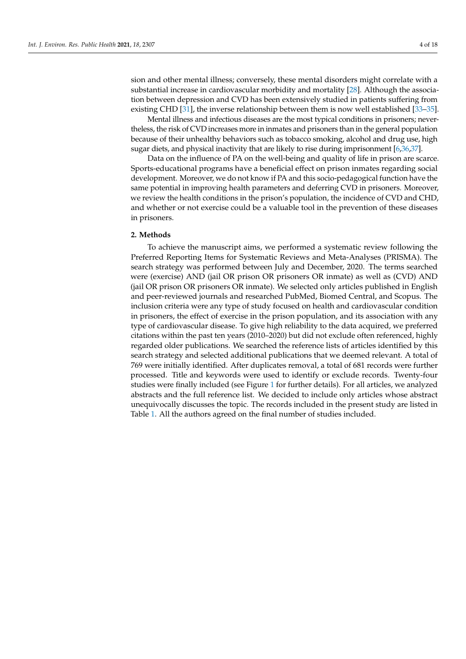sion and other mental illness; conversely, these mental disorders might correlate with a substantial increase in cardiovascular morbidity and mortality [\[28\]](#page-16-0). Although the association between depression and CVD has been extensively studied in patients suffering from existing CHD [\[31\]](#page-16-3), the inverse relationship between them is now well established [\[33](#page-16-5)[–35\]](#page-16-6).

Mental illness and infectious diseases are the most typical conditions in prisoners; nevertheless, the risk of CVD increases more in inmates and prisoners than in the general population because of their unhealthy behaviors such as tobacco smoking, alcohol and drug use, high sugar diets, and physical inactivity that are likely to rise during imprisonment [\[6,](#page-15-5)[36,](#page-16-7)[37\]](#page-16-8).

Data on the influence of PA on the well-being and quality of life in prison are scarce. Sports-educational programs have a beneficial effect on prison inmates regarding social development. Moreover, we do not know if PA and this socio-pedagogical function have the same potential in improving health parameters and deferring CVD in prisoners. Moreover, we review the health conditions in the prison's population, the incidence of CVD and CHD, and whether or not exercise could be a valuable tool in the prevention of these diseases in prisoners.

### **2. Methods**

To achieve the manuscript aims, we performed a systematic review following the Preferred Reporting Items for Systematic Reviews and Meta-Analyses (PRISMA). The search strategy was performed between July and December, 2020. The terms searched were (exercise) AND (jail OR prison OR prisoners OR inmate) as well as (CVD) AND (jail OR prison OR prisoners OR inmate). We selected only articles published in English and peer-reviewed journals and researched PubMed, Biomed Central, and Scopus. The inclusion criteria were any type of study focused on health and cardiovascular condition in prisoners, the effect of exercise in the prison population, and its association with any type of cardiovascular disease. To give high reliability to the data acquired, we preferred citations within the past ten years (2010–2020) but did not exclude often referenced, highly regarded older publications. We searched the reference lists of articles identified by this search strategy and selected additional publications that we deemed relevant. A total of 769 were initially identified. After duplicates removal, a total of 681 records were further processed. Title and keywords were used to identify or exclude records. Twenty-four studies were finally included (see Figure [1](#page-4-0) for further details). For all articles, we analyzed abstracts and the full reference list. We decided to include only articles whose abstract unequivocally discusses the topic. The records included in the present study are listed in Table [1.](#page-5-0) All the authors agreed on the final number of studies included.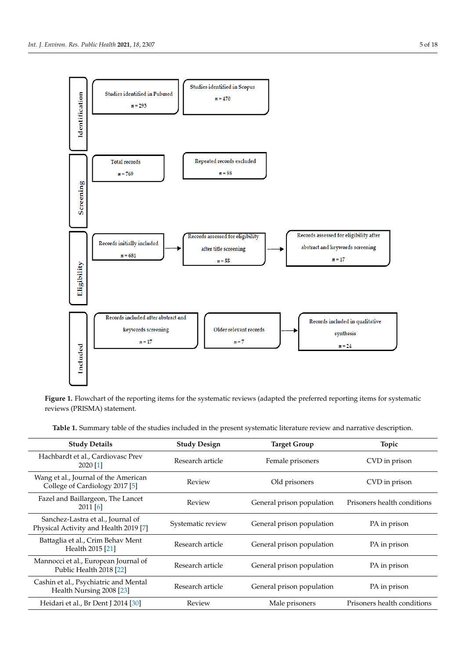<span id="page-4-0"></span>

Figure 1. Flowchart of the reporting items for the systematic reviews (adapted the preferred reporting items for systematic reviews (PRISMA) statement**.** reviews (PRISMA) statement.

Table 1. Summary table of the studies included in the present systematic literature review and narrative description.

| <b>Study Details</b>                                                       | <b>Study Design</b> | <b>Target Group</b>       | Topic                       |
|----------------------------------------------------------------------------|---------------------|---------------------------|-----------------------------|
| Hachbardt et al., Cardiovasc Prev<br>2020 [1]                              | Research article    | Female prisoners          | CVD in prison               |
| Wang et al., Journal of the American<br>College of Cardiology 2017 [5]     | Review              | Old prisoners             | CVD in prison               |
| Fazel and Baillargeon, The Lancet<br>$2011$ [6]                            | Review              | General prison population | Prisoners health conditions |
| Sanchez-Lastra et al., Journal of<br>Physical Activity and Health 2019 [7] | Systematic review   | General prison population | PA in prison                |
| Battaglia et al., Crim Behav Ment<br>Health 2015 [21]                      | Research article    | General prison population | PA in prison                |
| Mannocci et al., European Journal of<br>Public Health 2018 [22]            | Research article    | General prison population | PA in prison                |
| Cashin et al., Psychiatric and Mental<br>Health Nursing 2008 [23]          | Research article    | General prison population | PA in prison                |
| Heidari et al., Br Dent J 2014 [30]                                        | Review              | Male prisoners            | Prisoners health conditions |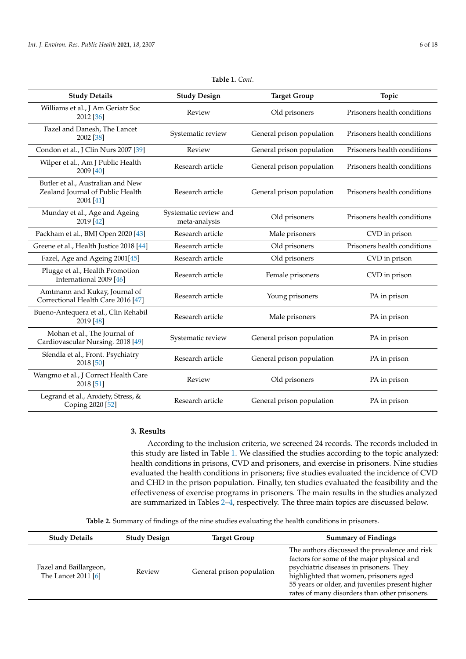<span id="page-5-0"></span>**Study Details** Williams et al., J Am Geriatr Soc 2012 [\[36\]](#page-16-7)

| Table 1. Cont.               |                           |                             |
|------------------------------|---------------------------|-----------------------------|
| <b>Study Design</b>          | <b>Target Group</b>       | Topic                       |
| Review                       | Old prisoners             | Prisoners health conditions |
| Systematic review            | General prison population | Prisoners health conditions |
| Review                       | General prison population | Prisoners health conditions |
| Research article             | General prison population | Prisoners health conditions |
| Research article             | General prison population | Prisoners health conditions |
| Contanta di concelezzo del 1 |                           |                             |

#### Fazel and Danesh, The Lancet 2002 [\[38\]](#page-16-9) Condon et al., J Clin Nurs 2007 [\[39\]](#page-16-10) Wilper et al., Am J Public Health 2009 [\[40\]](#page-16-11) Butler et al., Australian and New Zealand Journal of Public Health 2004 [\[41\]](#page-16-12) Munday et al., Age and Ageing 2019 [\[42\]](#page-16-13) Systematic review and emant review and **Old prisoners** Prisoners **Prisoners** health conditions meta-analysis Packham et al., BMJ Open 2020 [\[43\]](#page-16-14) Research article Male prisoners CVD in prison Greene et al., Health Justice 2018 [\[44\]](#page-16-15) Research article Cld prisoners Prisoners health conditions Fazel, Age and Ageing 2001[\[45\]](#page-16-16) Research article CND in prisoners CVD in prison Plugge et al., Health Promotion International 2009 [\[46\]](#page-16-17) Research article Female prisoners CVD in prison Amtmann and Kukay, Journal of Correctional Health Care 2016 [\[47\]](#page-16-18) Research article Young prisoners PA in prison Bueno-Antequera et al., Clin Rehabil 2019 [\[48\]](#page-16-19) Research article Male prisoners PA in prison Mohan et al., The Journal of Cardiovascular Nursing. 2018 [\[49\]](#page-16-20) Systematic review General prison population PA in prison Sfendla et al., Front. Psychiatry 2018 [\[50\]](#page-16-21) Research article General prison population PA in prison Wangmo et al., J Correct Health Care 2018 [\[51\]](#page-16-22) Review Old prisoners PA in prison Legrand et al., Anxiety, Stress, & Coping 2020 [\[52\]](#page-16-23) Research article General prison population PA in prison

## **3. Results**

According to the inclusion criteria, we screened 24 records. The records included in this study are listed in Table [1.](#page-5-0) We classified the studies according to the topic analyzed: health conditions in prisons, CVD and prisoners, and exercise in prisoners. Nine studies evaluated the health conditions in prisoners; five studies evaluated the incidence of CVD and CHD in the prison population. Finally, ten studies evaluated the feasibility and the effectiveness of exercise programs in prisoners. The main results in the studies analyzed are summarized in Tables [2](#page-7-0)[–4,](#page-9-0) respectively. The three main topics are discussed below.

**Table 2.** Summary of findings of the nine studies evaluating the health conditions in prisoners.

| <b>Study Details</b>                          | <b>Study Design</b> | <b>Target Group</b>       | <b>Summary of Findings</b>                                                                                                                                                                                                                                                           |
|-----------------------------------------------|---------------------|---------------------------|--------------------------------------------------------------------------------------------------------------------------------------------------------------------------------------------------------------------------------------------------------------------------------------|
| Fazel and Baillargeon,<br>The Lancet 2011 [6] | Review              | General prison population | The authors discussed the prevalence and risk<br>factors for some of the major physical and<br>psychiatric diseases in prisoners. They<br>highlighted that women, prisoners aged<br>55 years or older, and juveniles present higher<br>rates of many disorders than other prisoners. |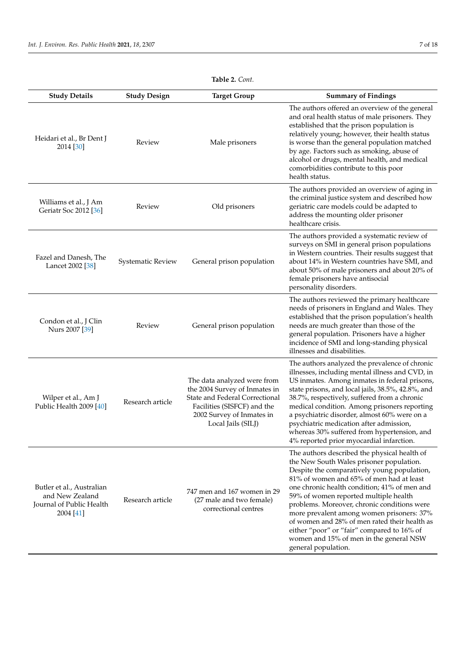| <b>Study Details</b>                                                                  | <b>Study Design</b> | <b>Target Group</b>                                                                                                                                                              | <b>Summary of Findings</b>                                                                                                                                                                                                                                                                                                                                                                                                                                                                                                                |
|---------------------------------------------------------------------------------------|---------------------|----------------------------------------------------------------------------------------------------------------------------------------------------------------------------------|-------------------------------------------------------------------------------------------------------------------------------------------------------------------------------------------------------------------------------------------------------------------------------------------------------------------------------------------------------------------------------------------------------------------------------------------------------------------------------------------------------------------------------------------|
| Heidari et al., Br Dent J<br>2014 [30]                                                | Review              | Male prisoners                                                                                                                                                                   | The authors offered an overview of the general<br>and oral health status of male prisoners. They<br>established that the prison population is<br>relatively young; however, their health status<br>is worse than the general population matched<br>by age. Factors such as smoking, abuse of<br>alcohol or drugs, mental health, and medical<br>comorbidities contribute to this poor<br>health status.                                                                                                                                   |
| Williams et al., J Am<br>Geriatr Soc 2012 [36]                                        | Review              | Old prisoners                                                                                                                                                                    | The authors provided an overview of aging in<br>the criminal justice system and described how<br>geriatric care models could be adapted to<br>address the mounting older prisoner<br>healthcare crisis.                                                                                                                                                                                                                                                                                                                                   |
| Fazel and Danesh, The<br>Lancet 2002 [38]                                             | Systematic Review   | General prison population                                                                                                                                                        | The authors provided a systematic review of<br>surveys on SMI in general prison populations<br>in Western countries. Their results suggest that<br>about 14% in Western countries have SMI, and<br>about 50% of male prisoners and about 20% of<br>female prisoners have antisocial<br>personality disorders.                                                                                                                                                                                                                             |
| Condon et al., J Clin<br>Nurs 2007 [39]                                               | Review              | General prison population                                                                                                                                                        | The authors reviewed the primary healthcare<br>needs of prisoners in England and Wales. They<br>established that the prison population's health<br>needs are much greater than those of the<br>general population. Prisoners have a higher<br>incidence of SMI and long-standing physical<br>illnesses and disabilities.                                                                                                                                                                                                                  |
| Wilper et al., Am J<br>Public Health 2009 [40]                                        | Research article    | The data analyzed were from<br>the 2004 Survey of Inmates in<br>State and Federal Correctional<br>Facilities (SISFCF) and the<br>2002 Survey of Inmates in<br>Local Jails (SILJ) | The authors analyzed the prevalence of chronic<br>illnesses, including mental illness and CVD, in<br>US inmates. Among inmates in federal prisons,<br>state prisons, and local jails, 38.5%, 42.8%, and<br>38.7%, respectively, suffered from a chronic<br>medical condition. Among prisoners reporting<br>a psychiatric disorder, almost 60% were on a<br>psychiatric medication after admission,<br>whereas 30% suffered from hypertension, and<br>4% reported prior myocardial infarction.                                             |
| Butler et al., Australian<br>and New Zealand<br>Journal of Public Health<br>2004 [41] | Research article    | 747 men and 167 women in 29<br>(27 male and two female)<br>correctional centres                                                                                                  | The authors described the physical health of<br>the New South Wales prisoner population.<br>Despite the comparatively young population,<br>81% of women and 65% of men had at least<br>one chronic health condition; 41% of men and<br>59% of women reported multiple health<br>problems. Moreover, chronic conditions were<br>more prevalent among women prisoners: 37%<br>of women and 28% of men rated their health as<br>either "poor" or "fair" compared to 16% of<br>women and 15% of men in the general NSW<br>general population. |

# **Table 2.** *Cont.*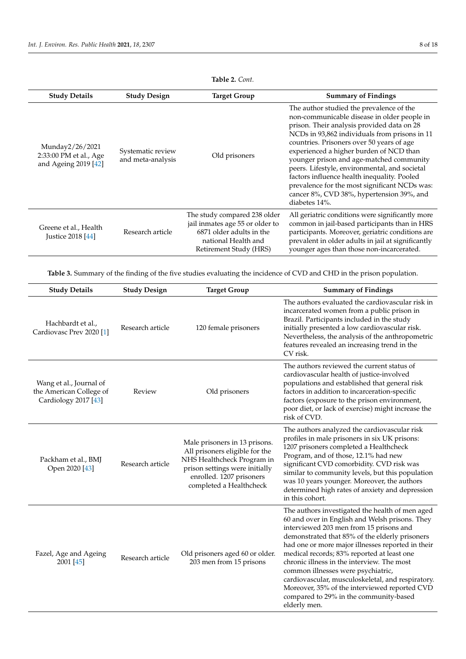<span id="page-7-0"></span>

| <b>Study Details</b>                                              | <b>Study Design</b>                    | <b>Target Group</b>                                                                                                                          | <b>Summary of Findings</b>                                                                                                                                                                                                                                                                                                                                                                                                                                                                                                                |
|-------------------------------------------------------------------|----------------------------------------|----------------------------------------------------------------------------------------------------------------------------------------------|-------------------------------------------------------------------------------------------------------------------------------------------------------------------------------------------------------------------------------------------------------------------------------------------------------------------------------------------------------------------------------------------------------------------------------------------------------------------------------------------------------------------------------------------|
| Munday2/26/2021<br>2:33:00 PM et al., Age<br>and Ageing 2019 [42] | Systematic review<br>and meta-analysis | Old prisoners                                                                                                                                | The author studied the prevalence of the<br>non-communicable disease in older people in<br>prison. Their analysis provided data on 28<br>NCDs in 93,862 individuals from prisons in 11<br>countries. Prisoners over 50 years of age<br>experienced a higher burden of NCD than<br>younger prison and age-matched community<br>peers. Lifestyle, environmental, and societal<br>factors influence health inequality. Pooled<br>prevalence for the most significant NCDs was:<br>cancer 8%, CVD 38%, hypertension 39%, and<br>diabetes 14%. |
| Greene et al., Health<br>Justice 2018 [44]                        | Research article                       | The study compared 238 older<br>jail inmates age 55 or older to<br>6871 older adults in the<br>national Health and<br>Retirement Study (HRS) | All geriatric conditions were significantly more<br>common in jail-based participants than in HRS<br>participants. Moreover, geriatric conditions are<br>prevalent in older adults in jail at significantly<br>younger ages than those non-incarcerated.                                                                                                                                                                                                                                                                                  |

**Table 2.** *Cont.*

**Table 3.** Summary of the finding of the five studies evaluating the incidence of CVD and CHD in the prison population.

| <b>Study Details</b>                                                       | <b>Study Design</b> | <b>Target Group</b>                                                                                                                                                                    | <b>Summary of Findings</b>                                                                                                                                                                                                                                                                                                                                                                                                                                                                                                                            |
|----------------------------------------------------------------------------|---------------------|----------------------------------------------------------------------------------------------------------------------------------------------------------------------------------------|-------------------------------------------------------------------------------------------------------------------------------------------------------------------------------------------------------------------------------------------------------------------------------------------------------------------------------------------------------------------------------------------------------------------------------------------------------------------------------------------------------------------------------------------------------|
| Hachbardt et al.,<br>Cardiovasc Prev 2020 [1]                              | Research article    | 120 female prisoners                                                                                                                                                                   | The authors evaluated the cardiovascular risk in<br>incarcerated women from a public prison in<br>Brazil. Participants included in the study<br>initially presented a low cardiovascular risk.<br>Nevertheless, the analysis of the anthropometric<br>features revealed an increasing trend in the<br>CV risk.                                                                                                                                                                                                                                        |
| Wang et al., Journal of<br>the American College of<br>Cardiology 2017 [43] | Review              | Old prisoners                                                                                                                                                                          | The authors reviewed the current status of<br>cardiovascular health of justice-involved<br>populations and established that general risk<br>factors in addition to incarceration-specific<br>factors (exposure to the prison environment,<br>poor diet, or lack of exercise) might increase the<br>risk of CVD.                                                                                                                                                                                                                                       |
| Packham et al., BMJ<br>Open 2020 [43]                                      | Research article    | Male prisoners in 13 prisons.<br>All prisoners eligible for the<br>NHS Healthcheck Program in<br>prison settings were initially<br>enrolled. 1207 prisoners<br>completed a Healthcheck | The authors analyzed the cardiovascular risk<br>profiles in male prisoners in six UK prisons:<br>1207 prisoners completed a Healthcheck<br>Program, and of those, 12.1% had new<br>significant CVD comorbidity. CVD risk was<br>similar to community levels, but this population<br>was 10 years younger. Moreover, the authors<br>determined high rates of anxiety and depression<br>in this cohort.                                                                                                                                                 |
| Fazel, Age and Ageing<br>2001 [45]                                         | Research article    | Old prisoners aged 60 or older.<br>203 men from 15 prisons                                                                                                                             | The authors investigated the health of men aged<br>60 and over in English and Welsh prisons. They<br>interviewed 203 men from 15 prisons and<br>demonstrated that 85% of the elderly prisoners<br>had one or more major illnesses reported in their<br>medical records; 83% reported at least one<br>chronic illness in the interview. The most<br>common illnesses were psychiatric,<br>cardiovascular, musculoskeletal, and respiratory.<br>Moreover, 35% of the interviewed reported CVD<br>compared to 29% in the community-based<br>elderly men. |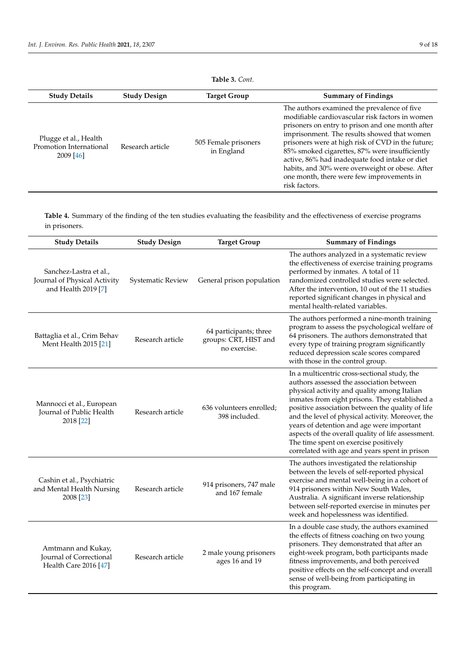| <b>Study Details</b>                                            | <b>Study Design</b> | Target Group                       | <b>Summary of Findings</b>                                                                                                                                                                                                                                                                                                                                                                                                                                                  |
|-----------------------------------------------------------------|---------------------|------------------------------------|-----------------------------------------------------------------------------------------------------------------------------------------------------------------------------------------------------------------------------------------------------------------------------------------------------------------------------------------------------------------------------------------------------------------------------------------------------------------------------|
| Plugge et al., Health<br>Promotion International<br>$2009$ [46] | Research article    | 505 Female prisoners<br>in England | The authors examined the prevalence of five<br>modifiable cardiovascular risk factors in women<br>prisoners on entry to prison and one month after<br>imprisonment. The results showed that women<br>prisoners were at high risk of CVD in the future;<br>85% smoked cigarettes, 87% were insufficiently<br>active, 86% had inadequate food intake or diet<br>habits, and 30% were overweight or obese. After<br>one month, there were few improvements in<br>risk factors. |

**Table 4.** Summary of the finding of the ten studies evaluating the feasibility and the effectiveness of exercise programs in prisoners.

| <b>Study Details</b>                                                          | <b>Study Design</b> | <b>Target Group</b>                                             | <b>Summary of Findings</b>                                                                                                                                                                                                                                                                                                                                                                                                                                                                      |
|-------------------------------------------------------------------------------|---------------------|-----------------------------------------------------------------|-------------------------------------------------------------------------------------------------------------------------------------------------------------------------------------------------------------------------------------------------------------------------------------------------------------------------------------------------------------------------------------------------------------------------------------------------------------------------------------------------|
| Sanchez-Lastra et al.,<br>Journal of Physical Activity<br>and Health 2019 [7] | Systematic Review   | General prison population                                       | The authors analyzed in a systematic review<br>the effectiveness of exercise training programs<br>performed by inmates. A total of 11<br>randomized controlled studies were selected.<br>After the intervention, 10 out of the 11 studies<br>reported significant changes in physical and<br>mental health-related variables.                                                                                                                                                                   |
| Battaglia et al., Crim Behav<br>Ment Health 2015 [21]                         | Research article    | 64 participants; three<br>groups: CRT, HIST and<br>no exercise. | The authors performed a nine-month training<br>program to assess the psychological welfare of<br>64 prisoners. The authors demonstrated that<br>every type of training program significantly<br>reduced depression scale scores compared<br>with those in the control group.                                                                                                                                                                                                                    |
| Mannocci et al., European<br>Journal of Public Health<br>2018 [22]            | Research article    | 636 volunteers enrolled;<br>398 included.                       | In a multicentric cross-sectional study, the<br>authors assessed the association between<br>physical activity and quality among Italian<br>inmates from eight prisons. They established a<br>positive association between the quality of life<br>and the level of physical activity. Moreover, the<br>years of detention and age were important<br>aspects of the overall quality of life assessment.<br>The time spent on exercise positively<br>correlated with age and years spent in prison |
| Cashin et al., Psychiatric<br>and Mental Health Nursing<br>2008 [23]          | Research article    | 914 prisoners, 747 male<br>and 167 female                       | The authors investigated the relationship<br>between the levels of self-reported physical<br>exercise and mental well-being in a cohort of<br>914 prisoners within New South Wales,<br>Australia. A significant inverse relationship<br>between self-reported exercise in minutes per<br>week and hopelessness was identified.                                                                                                                                                                  |
| Amtmann and Kukay,<br>Journal of Correctional<br>Health Care 2016 [47]        | Research article    | 2 male young prisoners<br>ages 16 and 19                        | In a double case study, the authors examined<br>the effects of fitness coaching on two young<br>prisoners. They demonstrated that after an<br>eight-week program, both participants made<br>fitness improvements, and both perceived<br>positive effects on the self-concept and overall<br>sense of well-being from participating in<br>this program.                                                                                                                                          |

# **Table 3.** *Cont.*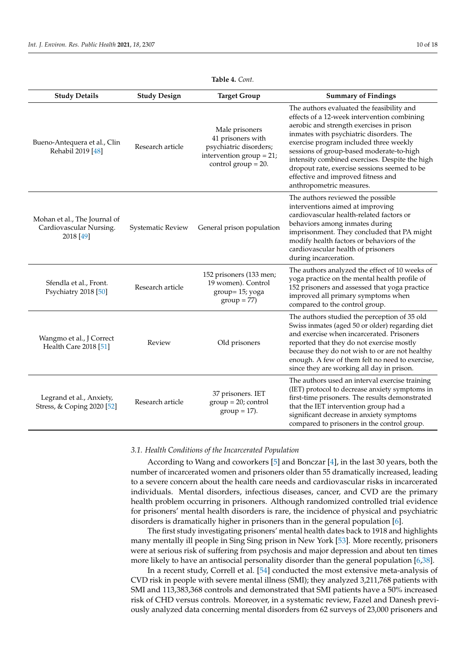<span id="page-9-0"></span>

| <b>Study Details</b>                                                 | <b>Study Design</b>      | <b>Target Group</b>                                                                                                    | <b>Summary of Findings</b>                                                                                                                                                                                                                                                                                                                                                                                                                |
|----------------------------------------------------------------------|--------------------------|------------------------------------------------------------------------------------------------------------------------|-------------------------------------------------------------------------------------------------------------------------------------------------------------------------------------------------------------------------------------------------------------------------------------------------------------------------------------------------------------------------------------------------------------------------------------------|
| Bueno-Antequera et al., Clin<br>Rehabil 2019 [48]                    | Research article         | Male prisoners<br>41 prisoners with<br>psychiatric disorders;<br>intervention group = $21$ ;<br>control group $= 20$ . | The authors evaluated the feasibility and<br>effects of a 12-week intervention combining<br>aerobic and strength exercises in prison<br>inmates with psychiatric disorders. The<br>exercise program included three weekly<br>sessions of group-based moderate-to-high<br>intensity combined exercises. Despite the high<br>dropout rate, exercise sessions seemed to be<br>effective and improved fitness and<br>anthropometric measures. |
| Mohan et al., The Journal of<br>Cardiovascular Nursing.<br>2018 [49] | <b>Systematic Review</b> | General prison population                                                                                              | The authors reviewed the possible<br>interventions aimed at improving<br>cardiovascular health-related factors or<br>behaviors among inmates during<br>imprisonment. They concluded that PA might<br>modify health factors or behaviors of the<br>cardiovascular health of prisoners<br>during incarceration.                                                                                                                             |
| Sfendla et al., Front.<br>Psychiatry 2018 [50]                       | Research article         | 152 prisoners (133 men;<br>19 women). Control<br>group= 15; yoga<br>$group = 77)$                                      | The authors analyzed the effect of 10 weeks of<br>yoga practice on the mental health profile of<br>152 prisoners and assessed that yoga practice<br>improved all primary symptoms when<br>compared to the control group.                                                                                                                                                                                                                  |
| Wangmo et al., J Correct<br>Health Care 2018 [51]                    | Review                   | Old prisoners                                                                                                          | The authors studied the perception of 35 old<br>Swiss inmates (aged 50 or older) regarding diet<br>and exercise when incarcerated. Prisoners<br>reported that they do not exercise mostly<br>because they do not wish to or are not healthy<br>enough. A few of them felt no need to exercise,<br>since they are working all day in prison.                                                                                               |
| Legrand et al., Anxiety,<br>Stress, & Coping 2020 [52]               | Research article         | 37 prisoners. IET<br>$group = 20; control$<br>$group = 17$ ).                                                          | The authors used an interval exercise training<br>(IET) protocol to decrease anxiety symptoms in<br>first-time prisoners. The results demonstrated<br>that the IET intervention group had a<br>significant decrease in anxiety symptoms<br>compared to prisoners in the control group.                                                                                                                                                    |

## **Table 4.** *Cont.*

#### *3.1. Health Conditions of the Incarcerated Population*

According to Wang and coworkers [\[5\]](#page-15-4) and Bonczar [\[4\]](#page-15-3), in the last 30 years, both the number of incarcerated women and prisoners older than 55 dramatically increased, leading to a severe concern about the health care needs and cardiovascular risks in incarcerated individuals. Mental disorders, infectious diseases, cancer, and CVD are the primary health problem occurring in prisoners. Although randomized controlled trial evidence for prisoners' mental health disorders is rare, the incidence of physical and psychiatric disorders is dramatically higher in prisoners than in the general population [\[6\]](#page-15-5).

The first study investigating prisoners' mental health dates back to 1918 and highlights many mentally ill people in Sing Sing prison in New York [\[53\]](#page-16-24). More recently, prisoners were at serious risk of suffering from psychosis and major depression and about ten times more likely to have an antisocial personality disorder than the general population [\[6,](#page-15-5)[38\]](#page-16-9).

In a recent study, Correll et al. [\[54\]](#page-16-25) conducted the most extensive meta-analysis of CVD risk in people with severe mental illness (SMI); they analyzed 3,211,768 patients with SMI and 113,383,368 controls and demonstrated that SMI patients have a 50% increased risk of CHD versus controls. Moreover, in a systematic review, Fazel and Danesh previously analyzed data concerning mental disorders from 62 surveys of 23,000 prisoners and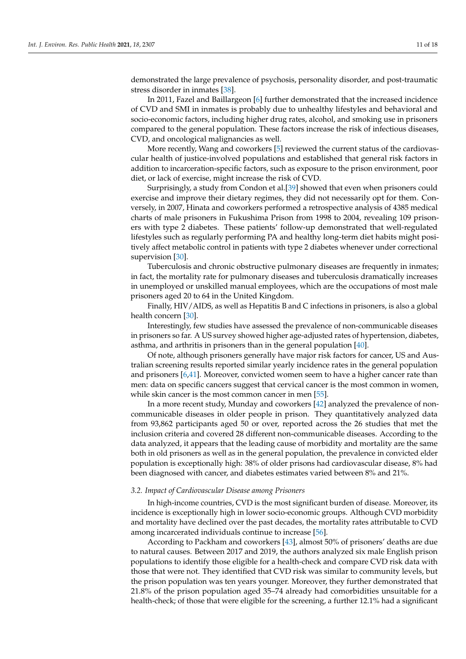demonstrated the large prevalence of psychosis, personality disorder, and post-traumatic stress disorder in inmates [\[38\]](#page-16-9).

In 2011, Fazel and Baillargeon [\[6\]](#page-15-5) further demonstrated that the increased incidence of CVD and SMI in inmates is probably due to unhealthy lifestyles and behavioral and socio-economic factors, including higher drug rates, alcohol, and smoking use in prisoners compared to the general population. These factors increase the risk of infectious diseases, CVD, and oncological malignancies as well.

More recently, Wang and coworkers [\[5\]](#page-15-4) reviewed the current status of the cardiovascular health of justice-involved populations and established that general risk factors in addition to incarceration-specific factors, such as exposure to the prison environment, poor diet, or lack of exercise, might increase the risk of CVD.

Surprisingly, a study from Condon et al.[\[39\]](#page-16-10) showed that even when prisoners could exercise and improve their dietary regimes, they did not necessarily opt for them. Conversely, in 2007, Hinata and coworkers performed a retrospective analysis of 4385 medical charts of male prisoners in Fukushima Prison from 1998 to 2004, revealing 109 prisoners with type 2 diabetes. These patients' follow-up demonstrated that well-regulated lifestyles such as regularly performing PA and healthy long-term diet habits might positively affect metabolic control in patients with type 2 diabetes whenever under correctional supervision [\[30\]](#page-16-2).

Tuberculosis and chronic obstructive pulmonary diseases are frequently in inmates; in fact, the mortality rate for pulmonary diseases and tuberculosis dramatically increases in unemployed or unskilled manual employees, which are the occupations of most male prisoners aged 20 to 64 in the United Kingdom.

Finally, HIV/AIDS, as well as Hepatitis B and C infections in prisoners, is also a global health concern [\[30\]](#page-16-2).

Interestingly, few studies have assessed the prevalence of non-communicable diseases in prisoners so far. A US survey showed higher age-adjusted rates of hypertension, diabetes, asthma, and arthritis in prisoners than in the general population [\[40\]](#page-16-11).

Of note, although prisoners generally have major risk factors for cancer, US and Australian screening results reported similar yearly incidence rates in the general population and prisoners [\[6,](#page-15-5)[41\]](#page-16-12). Moreover, convicted women seem to have a higher cancer rate than men: data on specific cancers suggest that cervical cancer is the most common in women, while skin cancer is the most common cancer in men [\[55\]](#page-16-26).

In a more recent study, Munday and coworkers [\[42\]](#page-16-13) analyzed the prevalence of noncommunicable diseases in older people in prison. They quantitatively analyzed data from 93,862 participants aged 50 or over, reported across the 26 studies that met the inclusion criteria and covered 28 different non-communicable diseases. According to the data analyzed, it appears that the leading cause of morbidity and mortality are the same both in old prisoners as well as in the general population, the prevalence in convicted elder population is exceptionally high: 38% of older prisons had cardiovascular disease, 8% had been diagnosed with cancer, and diabetes estimates varied between 8% and 21%.

## *3.2. Impact of Cardiovascular Disease among Prisoners*

In high-income countries, CVD is the most significant burden of disease. Moreover, its incidence is exceptionally high in lower socio-economic groups. Although CVD morbidity and mortality have declined over the past decades, the mortality rates attributable to CVD among incarcerated individuals continue to increase [\[56\]](#page-17-0).

According to Packham and coworkers [\[43\]](#page-16-14), almost 50% of prisoners' deaths are due to natural causes. Between 2017 and 2019, the authors analyzed six male English prison populations to identify those eligible for a health-check and compare CVD risk data with those that were not. They identified that CVD risk was similar to community levels, but the prison population was ten years younger. Moreover, they further demonstrated that 21.8% of the prison population aged 35–74 already had comorbidities unsuitable for a health-check; of those that were eligible for the screening, a further 12.1% had a significant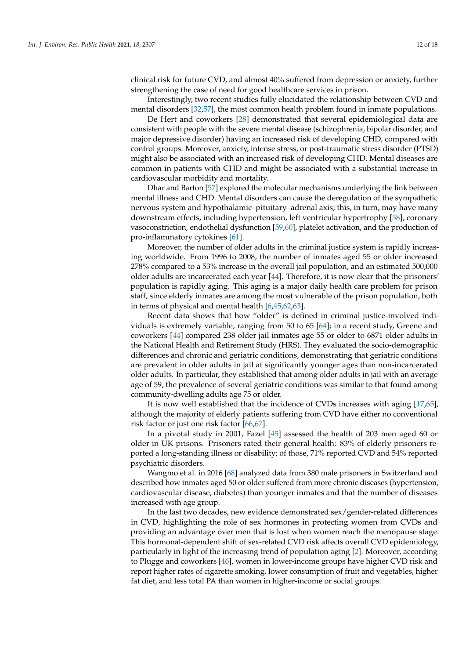clinical risk for future CVD, and almost 40% suffered from depression or anxiety, further strengthening the case of need for good healthcare services in prison.

Interestingly, two recent studies fully elucidated the relationship between CVD and mental disorders [\[32](#page-16-4)[,57\]](#page-17-1), the most common health problem found in inmate populations.

De Hert and coworkers [\[28\]](#page-16-0) demonstrated that several epidemiological data are consistent with people with the severe mental disease (schizophrenia, bipolar disorder, and major depressive disorder) having an increased risk of developing CHD, compared with control groups. Moreover, anxiety, intense stress, or post-traumatic stress disorder (PTSD) might also be associated with an increased risk of developing CHD. Mental diseases are common in patients with CHD and might be associated with a substantial increase in cardiovascular morbidity and mortality.

Dhar and Barton [\[57\]](#page-17-1) explored the molecular mechanisms underlying the link between mental illness and CHD. Mental disorders can cause the deregulation of the sympathetic nervous system and hypothalamic–pituitary–adrenal axis; this, in turn, may have many downstream effects, including hypertension, left ventricular hypertrophy [\[58\]](#page-17-2), coronary vasoconstriction, endothelial dysfunction [\[59,](#page-17-3)[60\]](#page-17-4), platelet activation, and the production of pro-inflammatory cytokines [\[61\]](#page-17-5).

Moreover, the number of older adults in the criminal justice system is rapidly increasing worldwide. From 1996 to 2008, the number of inmates aged 55 or older increased 278% compared to a 53% increase in the overall jail population, and an estimated 500,000 older adults are incarcerated each year [\[44\]](#page-16-15). Therefore, it is now clear that the prisoners' population is rapidly aging. This aging is a major daily health care problem for prison staff, since elderly inmates are among the most vulnerable of the prison population, both in terms of physical and mental health [\[6,](#page-15-5)[45](#page-16-16)[,62](#page-17-6)[,63\]](#page-17-7).

Recent data shows that how "older" is defined in criminal justice-involved individuals is extremely variable, ranging from 50 to 65 [\[64\]](#page-17-8); in a recent study, Greene and coworkers [\[44\]](#page-16-15) compared 238 older jail inmates age 55 or older to 6871 older adults in the National Health and Retirement Study (HRS). They evaluated the socio-demographic differences and chronic and geriatric conditions, demonstrating that geriatric conditions are prevalent in older adults in jail at significantly younger ages than non-incarcerated older adults. In particular, they established that among older adults in jail with an average age of 59, the prevalence of several geriatric conditions was similar to that found among community-dwelling adults age 75 or older.

It is now well established that the incidence of CVDs increases with aging [\[17,](#page-15-16)[65\]](#page-17-9), although the majority of elderly patients suffering from CVD have either no conventional risk factor or just one risk factor [\[66,](#page-17-10)[67\]](#page-17-11).

In a pivotal study in 2001, Fazel [\[45\]](#page-16-16) assessed the health of 203 men aged 60 or older in UK prisons. Prisoners rated their general health: 83% of elderly prisoners reported a long-standing illness or disability; of those, 71% reported CVD and 54% reported psychiatric disorders.

Wangmo et al. in 2016 [\[68\]](#page-17-12) analyzed data from 380 male prisoners in Switzerland and described how inmates aged 50 or older suffered from more chronic diseases (hypertension, cardiovascular disease, diabetes) than younger inmates and that the number of diseases increased with age group.

In the last two decades, new evidence demonstrated sex/gender-related differences in CVD, highlighting the role of sex hormones in protecting women from CVDs and providing an advantage over men that is lost when women reach the menopause stage. This hormonal-dependent shift of sex-related CVD risk affects overall CVD epidemiology, particularly in light of the increasing trend of population aging [\[2\]](#page-15-1). Moreover, according to Plugge and coworkers [\[46\]](#page-16-17), women in lower-income groups have higher CVD risk and report higher rates of cigarette smoking, lower consumption of fruit and vegetables, higher fat diet, and less total PA than women in higher-income or social groups.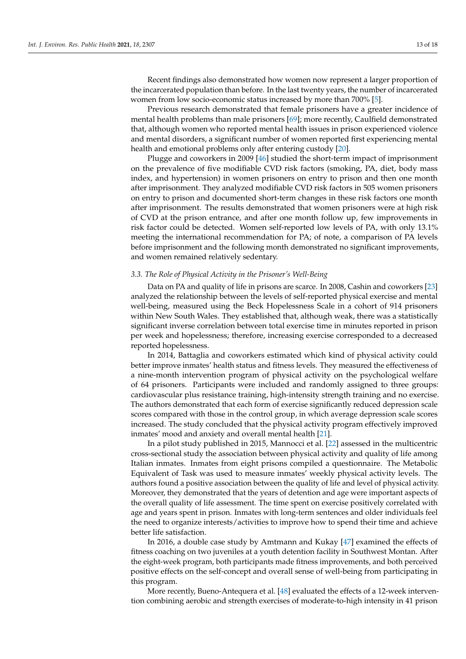Recent findings also demonstrated how women now represent a larger proportion of the incarcerated population than before. In the last twenty years, the number of incarcerated women from low socio-economic status increased by more than 700% [\[5\]](#page-15-4).

Previous research demonstrated that female prisoners have a greater incidence of mental health problems than male prisoners [\[69\]](#page-17-13); more recently, Caulfield demonstrated that, although women who reported mental health issues in prison experienced violence and mental disorders, a significant number of women reported first experiencing mental health and emotional problems only after entering custody [\[20\]](#page-15-18).

Plugge and coworkers in 2009 [\[46\]](#page-16-17) studied the short-term impact of imprisonment on the prevalence of five modifiable CVD risk factors (smoking, PA, diet, body mass index, and hypertension) in women prisoners on entry to prison and then one month after imprisonment. They analyzed modifiable CVD risk factors in 505 women prisoners on entry to prison and documented short-term changes in these risk factors one month after imprisonment. The results demonstrated that women prisoners were at high risk of CVD at the prison entrance, and after one month follow up, few improvements in risk factor could be detected. Women self-reported low levels of PA, with only 13.1% meeting the international recommendation for PA; of note, a comparison of PA levels before imprisonment and the following month demonstrated no significant improvements, and women remained relatively sedentary.

#### *3.3. The Role of Physical Activity in the Prisoner's Well-Being*

Data on PA and quality of life in prisons are scarce. In 2008, Cashin and coworkers [\[23\]](#page-15-21) analyzed the relationship between the levels of self-reported physical exercise and mental well-being, measured using the Beck Hopelessness Scale in a cohort of 914 prisoners within New South Wales. They established that, although weak, there was a statistically significant inverse correlation between total exercise time in minutes reported in prison per week and hopelessness; therefore, increasing exercise corresponded to a decreased reported hopelessness.

In 2014, Battaglia and coworkers estimated which kind of physical activity could better improve inmates' health status and fitness levels. They measured the effectiveness of a nine-month intervention program of physical activity on the psychological welfare of 64 prisoners. Participants were included and randomly assigned to three groups: cardiovascular plus resistance training, high-intensity strength training and no exercise. The authors demonstrated that each form of exercise significantly reduced depression scale scores compared with those in the control group, in which average depression scale scores increased. The study concluded that the physical activity program effectively improved inmates' mood and anxiety and overall mental health [\[21\]](#page-15-19).

In a pilot study published in 2015, Mannocci et al. [\[22\]](#page-15-20) assessed in the multicentric cross-sectional study the association between physical activity and quality of life among Italian inmates. Inmates from eight prisons compiled a questionnaire. The Metabolic Equivalent of Task was used to measure inmates' weekly physical activity levels. The authors found a positive association between the quality of life and level of physical activity. Moreover, they demonstrated that the years of detention and age were important aspects of the overall quality of life assessment. The time spent on exercise positively correlated with age and years spent in prison. Inmates with long-term sentences and older individuals feel the need to organize interests/activities to improve how to spend their time and achieve better life satisfaction.

In 2016, a double case study by Amtmann and Kukay [\[47\]](#page-16-18) examined the effects of fitness coaching on two juveniles at a youth detention facility in Southwest Montan. After the eight-week program, both participants made fitness improvements, and both perceived positive effects on the self-concept and overall sense of well-being from participating in this program.

More recently, Bueno-Antequera et al. [\[48\]](#page-16-19) evaluated the effects of a 12-week intervention combining aerobic and strength exercises of moderate-to-high intensity in 41 prison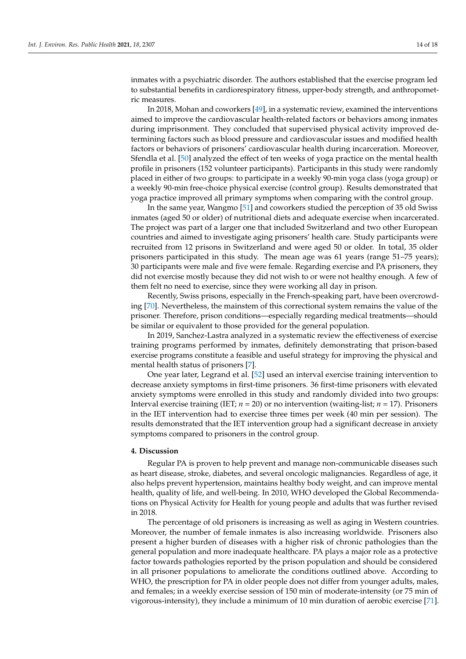inmates with a psychiatric disorder. The authors established that the exercise program led to substantial benefits in cardiorespiratory fitness, upper-body strength, and anthropometric measures.

In 2018, Mohan and coworkers [\[49\]](#page-16-20), in a systematic review, examined the interventions aimed to improve the cardiovascular health-related factors or behaviors among inmates during imprisonment. They concluded that supervised physical activity improved determining factors such as blood pressure and cardiovascular issues and modified health factors or behaviors of prisoners' cardiovascular health during incarceration. Moreover, Sfendla et al. [\[50\]](#page-16-21) analyzed the effect of ten weeks of yoga practice on the mental health profile in prisoners (152 volunteer participants). Participants in this study were randomly placed in either of two groups: to participate in a weekly 90-min yoga class (yoga group) or a weekly 90-min free-choice physical exercise (control group). Results demonstrated that yoga practice improved all primary symptoms when comparing with the control group.

In the same year, Wangmo [\[51\]](#page-16-22) and coworkers studied the perception of 35 old Swiss inmates (aged 50 or older) of nutritional diets and adequate exercise when incarcerated. The project was part of a larger one that included Switzerland and two other European countries and aimed to investigate aging prisoners' health care. Study participants were recruited from 12 prisons in Switzerland and were aged 50 or older. In total, 35 older prisoners participated in this study. The mean age was 61 years (range 51–75 years); 30 participants were male and five were female. Regarding exercise and PA prisoners, they did not exercise mostly because they did not wish to or were not healthy enough. A few of them felt no need to exercise, since they were working all day in prison.

Recently, Swiss prisons, especially in the French-speaking part, have been overcrowding [\[70\]](#page-17-14). Nevertheless, the mainstem of this correctional system remains the value of the prisoner. Therefore, prison conditions—especially regarding medical treatments—should be similar or equivalent to those provided for the general population.

In 2019, Sanchez-Lastra analyzed in a systematic review the effectiveness of exercise training programs performed by inmates, definitely demonstrating that prison-based exercise programs constitute a feasible and useful strategy for improving the physical and mental health status of prisoners [\[7\]](#page-15-6).

One year later, Legrand et al. [\[52\]](#page-16-23) used an interval exercise training intervention to decrease anxiety symptoms in first-time prisoners. 36 first-time prisoners with elevated anxiety symptoms were enrolled in this study and randomly divided into two groups: Interval exercise training (IET; *n* = 20) or no intervention (waiting-list; *n* = 17). Prisoners in the IET intervention had to exercise three times per week (40 min per session). The results demonstrated that the IET intervention group had a significant decrease in anxiety symptoms compared to prisoners in the control group.

#### **4. Discussion**

Regular PA is proven to help prevent and manage non-communicable diseases such as heart disease, stroke, diabetes, and several oncologic malignancies. Regardless of age, it also helps prevent hypertension, maintains healthy body weight, and can improve mental health, quality of life, and well-being. In 2010, WHO developed the Global Recommendations on Physical Activity for Health for young people and adults that was further revised in 2018.

The percentage of old prisoners is increasing as well as aging in Western countries. Moreover, the number of female inmates is also increasing worldwide. Prisoners also present a higher burden of diseases with a higher risk of chronic pathologies than the general population and more inadequate healthcare. PA plays a major role as a protective factor towards pathologies reported by the prison population and should be considered in all prisoner populations to ameliorate the conditions outlined above. According to WHO, the prescription for PA in older people does not differ from younger adults, males, and females; in a weekly exercise session of 150 min of moderate-intensity (or 75 min of vigorous-intensity), they include a minimum of 10 min duration of aerobic exercise [\[71\]](#page-17-15).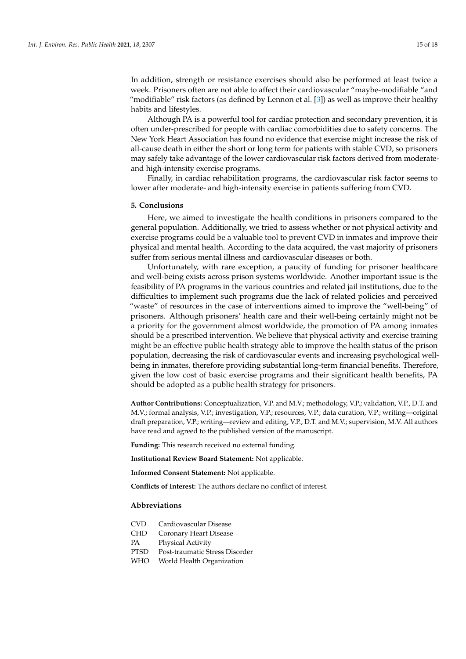In addition, strength or resistance exercises should also be performed at least twice a week. Prisoners often are not able to affect their cardiovascular "maybe-modifiable "and "modifiable" risk factors (as defined by Lennon et al. [\[3\]](#page-15-2)) as well as improve their healthy habits and lifestyles.

Although PA is a powerful tool for cardiac protection and secondary prevention, it is often under-prescribed for people with cardiac comorbidities due to safety concerns. The New York Heart Association has found no evidence that exercise might increase the risk of all-cause death in either the short or long term for patients with stable CVD, so prisoners may safely take advantage of the lower cardiovascular risk factors derived from moderateand high-intensity exercise programs.

Finally, in cardiac rehabilitation programs, the cardiovascular risk factor seems to lower after moderate- and high-intensity exercise in patients suffering from CVD.

#### **5. Conclusions**

Here, we aimed to investigate the health conditions in prisoners compared to the general population. Additionally, we tried to assess whether or not physical activity and exercise programs could be a valuable tool to prevent CVD in inmates and improve their physical and mental health. According to the data acquired, the vast majority of prisoners suffer from serious mental illness and cardiovascular diseases or both.

Unfortunately, with rare exception, a paucity of funding for prisoner healthcare and well-being exists across prison systems worldwide. Another important issue is the feasibility of PA programs in the various countries and related jail institutions, due to the difficulties to implement such programs due the lack of related policies and perceived "waste" of resources in the case of interventions aimed to improve the "well-being" of prisoners. Although prisoners' health care and their well-being certainly might not be a priority for the government almost worldwide, the promotion of PA among inmates should be a prescribed intervention. We believe that physical activity and exercise training might be an effective public health strategy able to improve the health status of the prison population, decreasing the risk of cardiovascular events and increasing psychological wellbeing in inmates, therefore providing substantial long-term financial benefits. Therefore, given the low cost of basic exercise programs and their significant health benefits, PA should be adopted as a public health strategy for prisoners.

**Author Contributions:** Conceptualization, V.P. and M.V.; methodology, V.P.; validation, V.P., D.T. and M.V.; formal analysis, V.P.; investigation, V.P.; resources, V.P.; data curation, V.P.; writing—original draft preparation, V.P.; writing—review and editing, V.P., D.T. and M.V.; supervision, M.V. All authors have read and agreed to the published version of the manuscript.

**Funding:** This research received no external funding.

**Institutional Review Board Statement:** Not applicable.

**Informed Consent Statement:** Not applicable.

**Conflicts of Interest:** The authors declare no conflict of interest.

#### **Abbreviations**

- CVD Cardiovascular Disease
- CHD Coronary Heart Disease
- PA Physical Activity
- PTSD Post-traumatic Stress Disorder
- WHO World Health Organization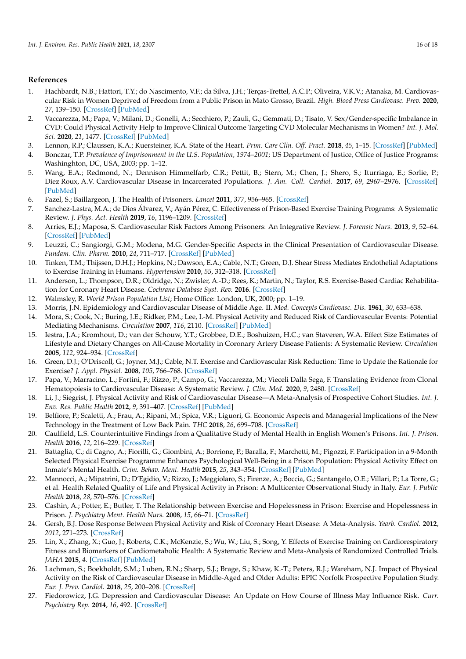## **References**

- <span id="page-15-0"></span>1. Hachbardt, N.B.; Hattori, T.Y.; do Nascimento, V.F.; da Silva, J.H.; Terças-Trettel, A.C.P.; Oliveira, V.K.V.; Atanaka, M. Cardiovascular Risk in Women Deprived of Freedom from a Public Prison in Mato Grosso, Brazil. *High. Blood Press Cardiovasc. Prev.* **2020**, *27*, 139–150. [\[CrossRef\]](http://doi.org/10.1007/s40292-020-00365-2) [\[PubMed\]](http://www.ncbi.nlm.nih.gov/pubmed/32144728)
- <span id="page-15-1"></span>2. Vaccarezza, M.; Papa, V.; Milani, D.; Gonelli, A.; Secchiero, P.; Zauli, G.; Gemmati, D.; Tisato, V. Sex/Gender-specific Imbalance in CVD: Could Physical Activity Help to Improve Clinical Outcome Targeting CVD Molecular Mechanisms in Women? *Int. J. Mol. Sci.* **2020**, *21*, 1477. [\[CrossRef\]](http://doi.org/10.3390/ijms21041477) [\[PubMed\]](http://www.ncbi.nlm.nih.gov/pubmed/32098263)
- <span id="page-15-2"></span>3. Lennon, R.P.; Claussen, K.A.; Kuersteiner, K.A. State of the Heart. *Prim. Care Clin. Off. Pract.* **2018**, *45*, 1–15. [\[CrossRef\]](http://doi.org/10.1016/j.pop.2017.11.001) [\[PubMed\]](http://www.ncbi.nlm.nih.gov/pubmed/29406937)
- <span id="page-15-3"></span>4. Bonczar, T.P. *Prevalence of Imprisonment in the U.S. Population, 1974–2001*; US Department of Justice, Office of Justice Programs: Washinghton, DC, USA, 2003; pp. 1–12.
- <span id="page-15-4"></span>5. Wang, E.A.; Redmond, N.; Dennison Himmelfarb, C.R.; Pettit, B.; Stern, M.; Chen, J.; Shero, S.; Iturriaga, E.; Sorlie, P.; Diez Roux, A.V. Cardiovascular Disease in Incarcerated Populations. *J. Am. Coll. Cardiol.* **2017**, *69*, 2967–2976. [\[CrossRef\]](http://doi.org/10.1016/j.jacc.2017.04.040) [\[PubMed\]](http://www.ncbi.nlm.nih.gov/pubmed/28619198)
- <span id="page-15-5"></span>6. Fazel, S.; Baillargeon, J. The Health of Prisoners. *Lancet* **2011**, *377*, 956–965. [\[CrossRef\]](http://doi.org/10.1016/S0140-6736(10)61053-7)
- <span id="page-15-6"></span>7. Sanchez-Lastra, M.A.; de Dios Álvarez, V.; Ayán Pérez, C. Effectiveness of Prison-Based Exercise Training Programs: A Systematic Review. *J. Phys. Act. Health* **2019**, *16*, 1196–1209. [\[CrossRef\]](http://doi.org/10.1123/jpah.2019-0049)
- <span id="page-15-7"></span>8. Arries, E.J.; Maposa, S. Cardiovascular Risk Factors Among Prisoners: An Integrative Review. *J. Forensic Nurs.* **2013**, *9*, 52–64. [\[CrossRef\]](http://doi.org/10.1097/JFN.0b013e31827a59ef) [\[PubMed\]](http://www.ncbi.nlm.nih.gov/pubmed/24158101)
- <span id="page-15-8"></span>9. Leuzzi, C.; Sangiorgi, G.M.; Modena, M.G. Gender-Specific Aspects in the Clinical Presentation of Cardiovascular Disease. *Fundam. Clin. Pharm.* **2010**, *24*, 711–717. [\[CrossRef\]](http://doi.org/10.1111/j.1472-8206.2010.00873.x) [\[PubMed\]](http://www.ncbi.nlm.nih.gov/pubmed/20840353)
- <span id="page-15-9"></span>10. Tinken, T.M.; Thijssen, D.H.J.; Hopkins, N.; Dawson, E.A.; Cable, N.T.; Green, D.J. Shear Stress Mediates Endothelial Adaptations to Exercise Training in Humans. *Hypertension* **2010**, *55*, 312–318. [\[CrossRef\]](http://doi.org/10.1161/HYPERTENSIONAHA.109.146282)
- <span id="page-15-10"></span>11. Anderson, L.; Thompson, D.R.; Oldridge, N.; Zwisler, A.-D.; Rees, K.; Martin, N.; Taylor, R.S. Exercise-Based Cardiac Rehabilitation for Coronary Heart Disease. *Cochrane Database Syst. Rev.* **2016**. [\[CrossRef\]](http://doi.org/10.1002/14651858.CD001800.pub3)
- <span id="page-15-11"></span>12. Walmsley, R. *World Prison Population List*; Home Office: London, UK, 2000; pp. 1–19.
- <span id="page-15-12"></span>13. Morris, J.N. Epidemiology and Cardiovascular Disease of Middle Age. II. *Mod. Concepts Cardiovasc. Dis.* **1961**, *30*, 633–638.
- <span id="page-15-13"></span>14. Mora, S.; Cook, N.; Buring, J.E.; Ridker, P.M.; Lee, I.-M. Physical Activity and Reduced Risk of Cardiovascular Events: Potential Mediating Mechanisms. *Circulation* **2007**, *116*, 2110. [\[CrossRef\]](http://doi.org/10.1161/CIRCULATIONAHA.107.729939) [\[PubMed\]](http://www.ncbi.nlm.nih.gov/pubmed/17967770)
- <span id="page-15-14"></span>15. Iestra, J.A.; Kromhout, D.; van der Schouw, Y.T.; Grobbee, D.E.; Boshuizen, H.C.; van Staveren, W.A. Effect Size Estimates of Lifestyle and Dietary Changes on All-Cause Mortality in Coronary Artery Disease Patients: A Systematic Review. *Circulation* **2005**, *112*, 924–934. [\[CrossRef\]](http://doi.org/10.1161/CIRCULATIONAHA.104.503995)
- <span id="page-15-15"></span>16. Green, D.J.; O'Driscoll, G.; Joyner, M.J.; Cable, N.T. Exercise and Cardiovascular Risk Reduction: Time to Update the Rationale for Exercise? *J. Appl. Physiol.* **2008**, *105*, 766–768. [\[CrossRef\]](http://doi.org/10.1152/japplphysiol.01028.2007)
- <span id="page-15-16"></span>17. Papa, V.; Marracino, L.; Fortini, F.; Rizzo, P.; Campo, G.; Vaccarezza, M.; Vieceli Dalla Sega, F. Translating Evidence from Clonal Hematopoiesis to Cardiovascular Disease: A Systematic Review. *J. Clin. Med.* **2020**, *9*, 2480. [\[CrossRef\]](http://doi.org/10.3390/jcm9082480)
- <span id="page-15-17"></span>18. Li, J.; Siegrist, J. Physical Activity and Risk of Cardiovascular Disease—A Meta-Analysis of Prospective Cohort Studies. *Int. J. Env. Res. Public Health* **2012**, *9*, 391–407. [\[CrossRef\]](http://doi.org/10.3390/ijerph9020391) [\[PubMed\]](http://www.ncbi.nlm.nih.gov/pubmed/22470299)
- 19. Belfiore, P.; Scaletti, A.; Frau, A.; Ripani, M.; Spica, V.R.; Liguori, G. Economic Aspects and Managerial Implications of the New Technology in the Treatment of Low Back Pain. *THC* **2018**, *26*, 699–708. [\[CrossRef\]](http://doi.org/10.3233/THC-181311)
- <span id="page-15-18"></span>20. Caulfield, L.S. Counterintuitive Findings from a Qualitative Study of Mental Health in English Women's Prisons. *Int. J. Prison. Health* **2016**, *12*, 216–229. [\[CrossRef\]](http://doi.org/10.1108/IJPH-05-2016-0013)
- <span id="page-15-19"></span>21. Battaglia, C.; di Cagno, A.; Fiorilli, G.; Giombini, A.; Borrione, P.; Baralla, F.; Marchetti, M.; Pigozzi, F. Participation in a 9-Month Selected Physical Exercise Programme Enhances Psychological Well-Being in a Prison Population: Physical Activity Effect on Inmate's Mental Health. *Crim. Behav. Ment. Health* **2015**, *25*, 343–354. [\[CrossRef\]](http://doi.org/10.1002/cbm.1922) [\[PubMed\]](http://www.ncbi.nlm.nih.gov/pubmed/25106026)
- <span id="page-15-20"></span>22. Mannocci, A.; Mipatrini, D.; D'Egidio, V.; Rizzo, J.; Meggiolaro, S.; Firenze, A.; Boccia, G.; Santangelo, O.E.; Villari, P.; La Torre, G.; et al. Health Related Quality of Life and Physical Activity in Prison: A Multicenter Observational Study in Italy. *Eur. J. Public Health* **2018**, *28*, 570–576. [\[CrossRef\]](http://doi.org/10.1093/eurpub/ckx183)
- <span id="page-15-21"></span>23. Cashin, A.; Potter, E.; Butler, T. The Relationship between Exercise and Hopelessness in Prison: Exercise and Hopelessness in Prison. *J. Psychiatry Ment. Health Nurs.* **2008**, *15*, 66–71. [\[CrossRef\]](http://doi.org/10.1111/j.1365-2850.2007.01207.x)
- <span id="page-15-22"></span>24. Gersh, B.J. Dose Response Between Physical Activity and Risk of Coronary Heart Disease: A Meta-Analysis. *Yearb. Cardiol.* **2012**, *2012*, 271–273. [\[CrossRef\]](http://doi.org/10.1016/j.ycar.2012.01.044)
- <span id="page-15-23"></span>25. Lin, X.; Zhang, X.; Guo, J.; Roberts, C.K.; McKenzie, S.; Wu, W.; Liu, S.; Song, Y. Effects of Exercise Training on Cardiorespiratory Fitness and Biomarkers of Cardiometabolic Health: A Systematic Review and Meta-Analysis of Randomized Controlled Trials. *JAHA* **2015**, *4*. [\[CrossRef\]](http://doi.org/10.1161/JAHA.115.002014) [\[PubMed\]](http://www.ncbi.nlm.nih.gov/pubmed/26116691)
- <span id="page-15-24"></span>26. Lachman, S.; Boekholdt, S.M.; Luben, R.N.; Sharp, S.J.; Brage, S.; Khaw, K.-T.; Peters, R.J.; Wareham, N.J. Impact of Physical Activity on the Risk of Cardiovascular Disease in Middle-Aged and Older Adults: EPIC Norfolk Prospective Population Study. *Eur. J. Prev. Cardiol.* **2018**, *25*, 200–208. [\[CrossRef\]](http://doi.org/10.1177/2047487317737628)
- <span id="page-15-25"></span>27. Fiedorowicz, J.G. Depression and Cardiovascular Disease: An Update on How Course of Illness May Influence Risk. *Curr. Psychiatry Rep.* **2014**, *16*, 492. [\[CrossRef\]](http://doi.org/10.1007/s11920-014-0492-6)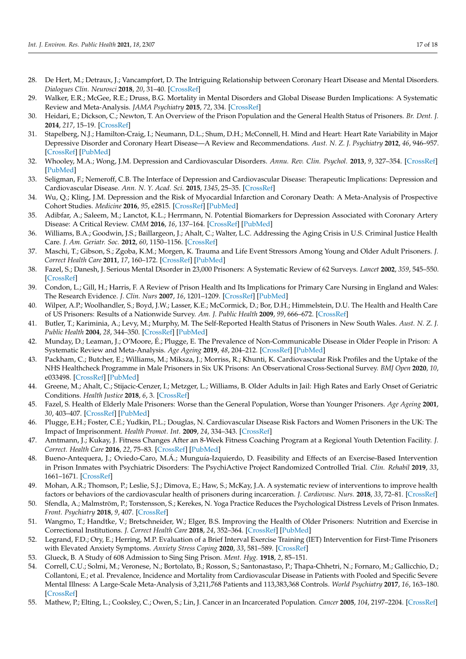- <span id="page-16-0"></span>28. De Hert, M.; Detraux, J.; Vancampfort, D. The Intriguing Relationship between Coronary Heart Disease and Mental Disorders. *Dialogues Clin. Neurosci* **2018**, *20*, 31–40. [\[CrossRef\]](http://doi.org/10.31887/DCNS.2018.20.1/mdehert)
- <span id="page-16-1"></span>29. Walker, E.R.; McGee, R.E.; Druss, B.G. Mortality in Mental Disorders and Global Disease Burden Implications: A Systematic Review and Meta-Analysis. *JAMA Psychiatry* **2015**, *72*, 334. [\[CrossRef\]](http://doi.org/10.1001/jamapsychiatry.2014.2502)
- <span id="page-16-2"></span>30. Heidari, E.; Dickson, C.; Newton, T. An Overview of the Prison Population and the General Health Status of Prisoners. *Br. Dent. J.* **2014**, *217*, 15–19. [\[CrossRef\]](http://doi.org/10.1038/sj.bdj.2014.548)
- <span id="page-16-3"></span>31. Stapelberg, N.J.; Hamilton-Craig, I.; Neumann, D.L.; Shum, D.H.; McConnell, H. Mind and Heart: Heart Rate Variability in Major Depressive Disorder and Coronary Heart Disease—A Review and Recommendations. *Aust. N. Z. J. Psychiatry* **2012**, *46*, 946–957. [\[CrossRef\]](http://doi.org/10.1177/0004867412444624) [\[PubMed\]](http://www.ncbi.nlm.nih.gov/pubmed/22528974)
- <span id="page-16-4"></span>32. Whooley, M.A.; Wong, J.M. Depression and Cardiovascular Disorders. *Annu. Rev. Clin. Psychol.* **2013**, *9*, 327–354. [\[CrossRef\]](http://doi.org/10.1146/annurev-clinpsy-050212-185526) [\[PubMed\]](http://www.ncbi.nlm.nih.gov/pubmed/23537487)
- <span id="page-16-5"></span>33. Seligman, F.; Nemeroff, C.B. The Interface of Depression and Cardiovascular Disease: Therapeutic Implications: Depression and Cardiovascular Disease. *Ann. N. Y. Acad. Sci.* **2015**, *1345*, 25–35. [\[CrossRef\]](http://doi.org/10.1111/nyas.12738)
- 34. Wu, Q.; Kling, J.M. Depression and the Risk of Myocardial Infarction and Coronary Death: A Meta-Analysis of Prospective Cohort Studies. *Medicine* **2016**, *95*, e2815. [\[CrossRef\]](http://doi.org/10.1097/MD.0000000000002815) [\[PubMed\]](http://www.ncbi.nlm.nih.gov/pubmed/26871852)
- <span id="page-16-6"></span>35. Adibfar, A.; Saleem, M.; Lanctot, K.L.; Herrmann, N. Potential Biomarkers for Depression Associated with Coronary Artery Disease: A Critical Review. *CMM* **2016**, *16*, 137–164. [\[CrossRef\]](http://doi.org/10.2174/1566524016666160126144143) [\[PubMed\]](http://www.ncbi.nlm.nih.gov/pubmed/26812919)
- <span id="page-16-7"></span>36. Williams, B.A.; Goodwin, J.S.; Baillargeon, J.; Ahalt, C.; Walter, L.C. Addressing the Aging Crisis in U.S. Criminal Justice Health Care. *J. Am. Geriatr. Soc.* **2012**, *60*, 1150–1156. [\[CrossRef\]](http://doi.org/10.1111/j.1532-5415.2012.03962.x)
- <span id="page-16-8"></span>37. Maschi, T.; Gibson, S.; Zgoba, K.M.; Morgen, K. Trauma and Life Event Stressors Among Young and Older Adult Prisoners. *J. Correct Health Care* **2011**, *17*, 160–172. [\[CrossRef\]](http://doi.org/10.1177/1078345810396682) [\[PubMed\]](http://www.ncbi.nlm.nih.gov/pubmed/21525119)
- <span id="page-16-9"></span>38. Fazel, S.; Danesh, J. Serious Mental Disorder in 23,000 Prisoners: A Systematic Review of 62 Surveys. *Lancet* **2002**, *359*, 545–550. [\[CrossRef\]](http://doi.org/10.1016/S0140-6736(02)07740-1)
- <span id="page-16-10"></span>39. Condon, L.; Gill, H.; Harris, F. A Review of Prison Health and Its Implications for Primary Care Nursing in England and Wales: The Research Evidence. *J. Clin. Nurs* **2007**, *16*, 1201–1209. [\[CrossRef\]](http://doi.org/10.1111/j.1365-2702.2007.01799.x) [\[PubMed\]](http://www.ncbi.nlm.nih.gov/pubmed/17584337)
- <span id="page-16-11"></span>40. Wilper, A.P.; Woolhandler, S.; Boyd, J.W.; Lasser, K.E.; McCormick, D.; Bor, D.H.; Himmelstein, D.U. The Health and Health Care of US Prisoners: Results of a Nationwide Survey. *Am. J. Public Health* **2009**, *99*, 666–672. [\[CrossRef\]](http://doi.org/10.2105/AJPH.2008.144279)
- <span id="page-16-12"></span>41. Butler, T.; Kariminia, A.; Levy, M.; Murphy, M. The Self-Reported Health Status of Prisoners in New South Wales. *Aust. N. Z. J. Public Health* **2004**, *28*, 344–350. [\[CrossRef\]](http://doi.org/10.1111/j.1467-842X.2004.tb00442.x) [\[PubMed\]](http://www.ncbi.nlm.nih.gov/pubmed/15704699)
- <span id="page-16-13"></span>42. Munday, D.; Leaman, J.; O'Moore, É.; Plugge, E. The Prevalence of Non-Communicable Disease in Older People in Prison: A Systematic Review and Meta-Analysis. *Age Ageing* **2019**, *48*, 204–212. [\[CrossRef\]](http://doi.org/10.1093/ageing/afy186) [\[PubMed\]](http://www.ncbi.nlm.nih.gov/pubmed/30590404)
- <span id="page-16-14"></span>43. Packham, C.; Butcher, E.; Williams, M.; Miksza, J.; Morriss, R.; Khunti, K. Cardiovascular Risk Profiles and the Uptake of the NHS Healthcheck Programme in Male Prisoners in Six UK Prisons: An Observational Cross-Sectional Survey. *BMJ Open* **2020**, *10*, e033498. [\[CrossRef\]](http://doi.org/10.1136/bmjopen-2019-033498) [\[PubMed\]](http://www.ncbi.nlm.nih.gov/pubmed/32448789)
- <span id="page-16-15"></span>44. Greene, M.; Ahalt, C.; Stijacic-Cenzer, I.; Metzger, L.; Williams, B. Older Adults in Jail: High Rates and Early Onset of Geriatric Conditions. *Health Justice* **2018**, *6*, 3. [\[CrossRef\]](http://doi.org/10.1186/s40352-018-0062-9)
- <span id="page-16-16"></span>45. Fazel, S. Health of Elderly Male Prisoners: Worse than the General Population, Worse than Younger Prisoners. *Age Ageing* **2001**, *30*, 403–407. [\[CrossRef\]](http://doi.org/10.1093/ageing/30.5.403) [\[PubMed\]](http://www.ncbi.nlm.nih.gov/pubmed/11709379)
- <span id="page-16-17"></span>46. Plugge, E.H.; Foster, C.E.; Yudkin, P.L.; Douglas, N. Cardiovascular Disease Risk Factors and Women Prisoners in the UK: The Impact of Imprisonment. *Health Promot. Int.* **2009**, *24*, 334–343. [\[CrossRef\]](http://doi.org/10.1093/heapro/dap034)
- <span id="page-16-18"></span>47. Amtmann, J.; Kukay, J. Fitness Changes After an 8-Week Fitness Coaching Program at a Regional Youth Detention Facility. *J. Correct. Health Care* **2016**, *22*, 75–83. [\[CrossRef\]](http://doi.org/10.1177/1078345815620273) [\[PubMed\]](http://www.ncbi.nlm.nih.gov/pubmed/26672121)
- <span id="page-16-19"></span>48. Bueno-Antequera, J.; Oviedo-Caro, M.Á.; Munguía-Izquierdo, D. Feasibility and Effects of an Exercise-Based Intervention in Prison Inmates with Psychiatric Disorders: The PsychiActive Project Randomized Controlled Trial. *Clin. Rehabil* **2019**, *33*, 1661–1671. [\[CrossRef\]](http://doi.org/10.1177/0269215519845133)
- <span id="page-16-20"></span>49. Mohan, A.R.; Thomson, P.; Leslie, S.J.; Dimova, E.; Haw, S.; McKay, J.A. A systematic review of interventions to improve health factors or behaviors of the cardiovascular health of prisoners during incarceration. *J. Cardiovasc. Nurs.* **2018**, *33*, 72–81. [\[CrossRef\]](http://doi.org/10.1097/JCN.0000000000000420)
- <span id="page-16-21"></span>50. Sfendla, A.; Malmström, P.; Torstensson, S.; Kerekes, N. Yoga Practice Reduces the Psychological Distress Levels of Prison Inmates. *Front. Psychiatry* **2018**, *9*, 407. [\[CrossRef\]](http://doi.org/10.3389/fpsyt.2018.00407)
- <span id="page-16-22"></span>51. Wangmo, T.; Handtke, V.; Bretschneider, W.; Elger, B.S. Improving the Health of Older Prisoners: Nutrition and Exercise in Correctional Institutions. *J. Correct Health Care* **2018**, *24*, 352–364. [\[CrossRef\]](http://doi.org/10.1177/1078345818793121) [\[PubMed\]](http://www.ncbi.nlm.nih.gov/pubmed/30126311)
- <span id="page-16-23"></span>52. Legrand, F.D.; Ory, E.; Herring, M.P. Evaluation of a Brief Interval Exercise Training (IET) Intervention for First-Time Prisoners with Elevated Anxiety Symptoms. *Anxiety Stress Coping* **2020**, *33*, 581–589. [\[CrossRef\]](http://doi.org/10.1080/10615806.2020.1768244)
- <span id="page-16-24"></span>53. Glueck, B. A Study of 608 Admission to Sing Sing Prison. *Ment. Hyg.* **1918**, *2*, 85–151.
- <span id="page-16-25"></span>54. Correll, C.U.; Solmi, M.; Veronese, N.; Bortolato, B.; Rosson, S.; Santonastaso, P.; Thapa-Chhetri, N.; Fornaro, M.; Gallicchio, D.; Collantoni, E.; et al. Prevalence, Incidence and Mortality from Cardiovascular Disease in Patients with Pooled and Specific Severe Mental Illness: A Large-Scale Meta-Analysis of 3,211,768 Patients and 113,383,368 Controls. *World Psychiatry* **2017**, *16*, 163–180. [\[CrossRef\]](http://doi.org/10.1002/wps.20420)
- <span id="page-16-26"></span>55. Mathew, P.; Elting, L.; Cooksley, C.; Owen, S.; Lin, J. Cancer in an Incarcerated Population. *Cancer* **2005**, *104*, 2197–2204. [\[CrossRef\]](http://doi.org/10.1002/cncr.21468)